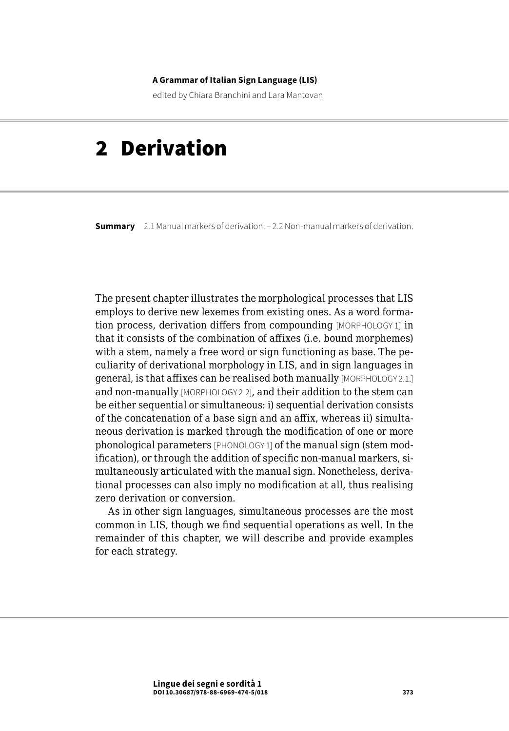#### **A Grammar of Italian Sign Language (LIS)**

edited by Chiara Branchini and Lara Mantovan

# 2 Derivation

**Summary** [2.1 Manual markers of derivation.](#page-1-0) – [2.2 Non-manual markers of derivation.](#page-10-0)

The present chapter illustrates the morphological processes that LIS employs to derive new lexemes from existing ones. As a word formation process, derivation differs from compounding [MORPHOLOGY 1] in that it consists of the combination of affixes (i.e. bound morphemes) with a stem, namely a free word or sign functioning as base. The peculiarity of derivational morphology in LIS, and in sign languages in general, is that affixes can be realised both manually [MORPHOLOGY 2.1.] and non-manually [MORPHOLOGY 2.2], and their addition to the stem can be either sequential or simultaneous: i) sequential derivation consists of the concatenation of a base sign and an affix, whereas ii) simultaneous derivation is marked through the modification of one or more phonological parameters [PHONOLOGY 1] of the manual sign (stem modification), or through the addition of specific non-manual markers, simultaneously articulated with the manual sign. Nonetheless, derivational processes can also imply no modification at all, thus realising zero derivation or conversion.

As in other sign languages, simultaneous processes are the most common in LIS, though we find sequential operations as well. In the remainder of this chapter, we will describe and provide examples for each strategy.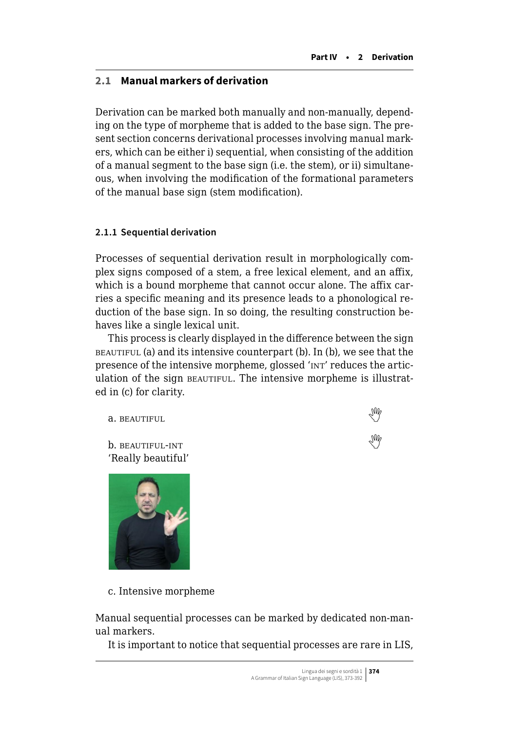# <span id="page-1-0"></span>**2.1 Manual markers of derivation**

Derivation can be marked both manually and non-manually, depending on the type of morpheme that is added to the base sign. The present section concerns derivational processes involving manual markers, which can be either i) sequential, when consisting of the addition of a manual segment to the base sign (i.e. the stem), or ii) simultaneous, when involving the modification of the formational parameters of the manual base sign (stem modification).

# **2.1.1 Sequential derivation**

Processes of sequential derivation result in morphologically complex signs composed of a stem, a free lexical element, and an affix, which is a bound morpheme that cannot occur alone. The affix carries a specific meaning and its presence leads to a phonological reduction of the base sign. In so doing, the resulting construction behaves like a single lexical unit.

This process is clearly displayed in the difference between the sign beautiful (a) and its intensive counterpart (b). In (b), we see that the presence of the intensive morpheme, glossed 'INT' reduces the articulation of the sign BEAUTIFUL. The intensive morpheme is illustrated in (c) for clarity.

**a.**beautiful

b. beautiful-int  'Really beautiful'



c. Intensive morpheme

Manual sequential processes can be marked by dedicated non-manual markers.

It is important to notice that sequential processes are rare in LIS,

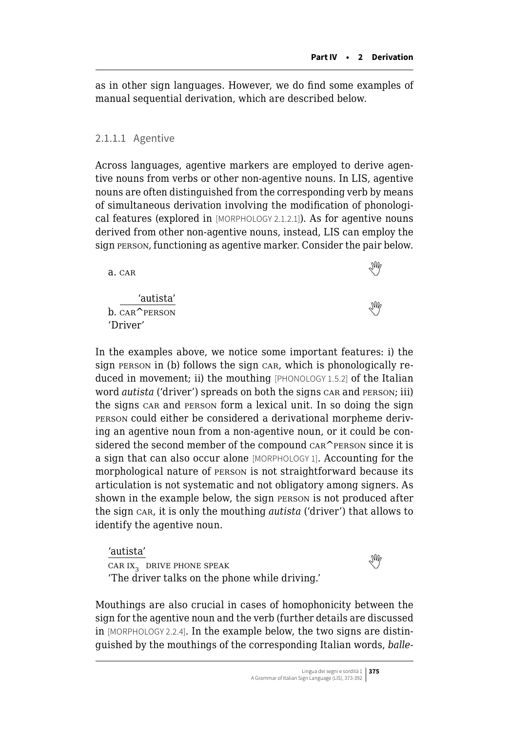as in other sign languages. However, we do find some examples of manual sequential derivation, which are described below.

#### 2.1.1.1 Agentive

Across languages, agentive markers are employed to derive agentive nouns from verbs or other non-agentive nouns. In LIS, agentive nouns are often distinguished from the corresponding verb by means of simultaneous derivation involving the modification of phonological features (explored in [MORPHOLOGY 2.1.2.1]). As for agentive nouns derived from other non-agentive nouns, instead, LIS can employ the sign person, functioning as agentive marker. Consider the pair below.

'autista' b.CAR<sup>APFRSON</sup> 'Driver'

In the examples above, we notice some important features: i) the sign person in (b) follows the sign car, which is phonologically reduced in movement; ii) the mouthing [PHONOLOGY 1.5.2] of the Italian word *autista* ('driver') spreads on both the signs car and person; iii) the signs car and person form a lexical unit. In so doing the sign person could either be considered a derivational morpheme deriving an agentive noun from a non-agentive noun, or it could be considered the second member of the compound CAR^PERSON since it is a sign that can also occur alone [MORPHOLOGY 1]. Accounting for the morphological nature of person is not straightforward because its articulation is not systematic and not obligatory among signers. As shown in the example below, the sign person is not produced after the sign car, it is only the mouthing *autista* ('driver') that allows to identify the agentive noun.

'autista' car ix<sup>3</sup> drive phone speak  'The driver talks on the phone while driving.'

Mouthings are also crucial in cases of homophonicity between the sign for the agentive noun and the verb (further details are discussed in [MORPHOLOGY 2.2.4]. In the example below, the two signs are distinguished by the mouthings of the corresponding Italian words, *balle-*

 $a.$ car  $\mathbb{Q}$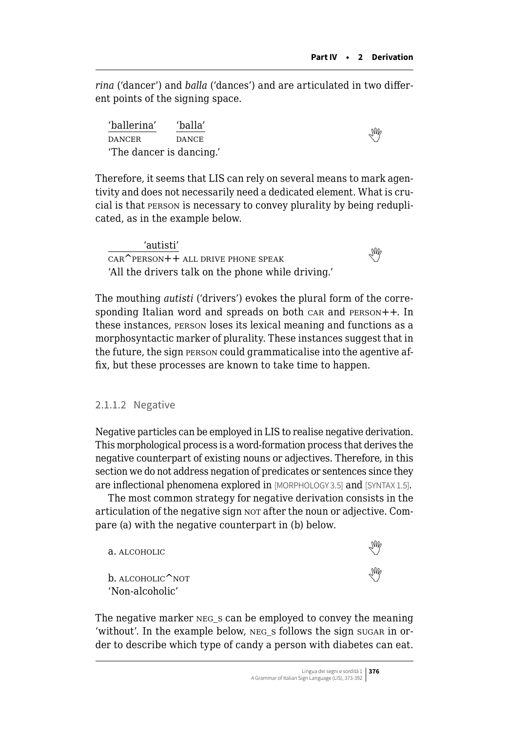*rina* ('dancer') and *balla* ('dances') and are articulated in two different points of the signing space.

'ballerina' 'balla' DANCERDANCE 'The dancer is dancing.'

Therefore, it seems that LIS can rely on several means to mark agentivity and does not necessarily need a dedicated element. What is crucial is that person is necessary to convey plurality by being reduplicated, as in the example below.

'autisti'  $\frac{u}{\text{CAR}^{\text{PERSON++}}}$ all drive phone speak 'All the drivers talk on the phone while driving.'

The mouthing *autisti* ('drivers') evokes the plural form of the corresponding Italian word and spreads on both care and PERSON++. In these instances, person loses its lexical meaning and functions as a morphosyntactic marker of plurality. These instances suggest that in the future, the sign person could grammaticalise into the agentive affix, but these processes are known to take time to happen.

#### 2.1.1.2 Negative

Negative particles can be employed in LIS to realise negative derivation. This morphological process is a word-formation process that derives the negative counterpart of existing nouns or adjectives. Therefore, in this section we do not address negation of predicates or sentences since they are inflectional phenomena explored in [MORPHOLOGY 3.5] and [SYNTAX 1.5].

The most common strategy for negative derivation consists in the articulation of the negative sign nor after the noun or adjective. Compare (a) with the negative counterpart in (b) below.

| a. ALCOHOLIC                          | Ind |
|---------------------------------------|-----|
| $b.$ ALCOHOLIC NOT<br>'Non-alcoholic' | ₩   |

The negative marker neg\_<sup>s</sup> can be employed to convey the meaning 'without'. In the example below, neg\_<sup>s</sup> follows the sign sugar in order to describe which type of candy a person with diabetes can eat.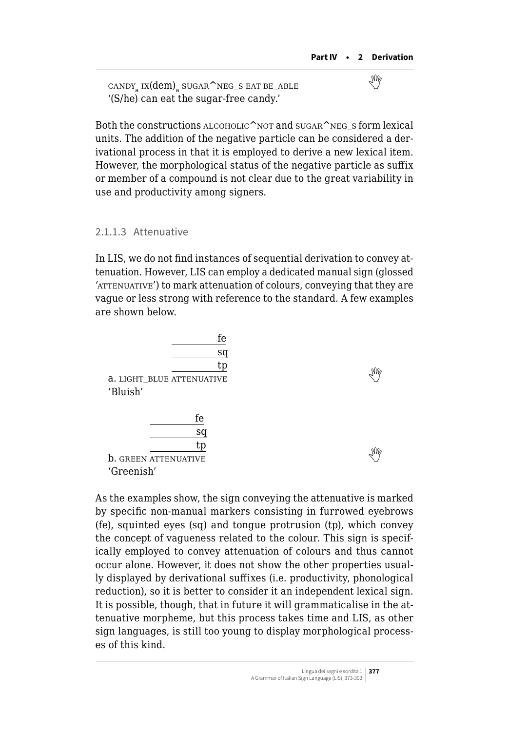$\text{candy}_a$ ix(dem) sugar^neg\_s eat be\_able '(S/he) can eat the sugar-free candy.'

Both the constructions  $ALCOHOLIC^NOT$  and  $SUGAR^NEG$  s form lexical units. The addition of the negative particle can be considered a derivational process in that it is employed to derive a new lexical item. However, the morphological status of the negative particle as suffix or member of a compound is not clear due to the great variability in use and productivity among signers.

#### 2.1.1.3 Attenuative

In LIS, we do not find instances of sequential derivation to convey attenuation. However, LIS can employ a dedicated manual sign (glossed 'ATTENUATIVE') to mark attenuation of colours, conveying that they are vague or less strong with reference to the standard. A few examples are shown below.

| fe<br>sq<br>tp                   |    |
|----------------------------------|----|
| <b>a. LIGHT_BLUE ATTENUATIVE</b> | NW |
| 'Bluish'                         |    |
|                                  |    |
| fe                               |    |
| sq                               |    |
| tp                               |    |
| <b>b.</b> GREEN ATTENUATIVE      | NM |
| 'Greenish'                       |    |

As the examples show, the sign conveying the attenuative is marked by specific non-manual markers consisting in furrowed eyebrows (fe), squinted eyes (sq) and tongue protrusion (tp), which convey the concept of vagueness related to the colour. This sign is specifically employed to convey attenuation of colours and thus cannot occur alone. However, it does not show the other properties usually displayed by derivational suffixes (i.e. productivity, phonological reduction), so it is better to consider it an independent lexical sign. It is possible, though, that in future it will grammaticalise in the attenuative morpheme, but this process takes time and LIS, as other sign languages, is still too young to display morphological processes of this kind.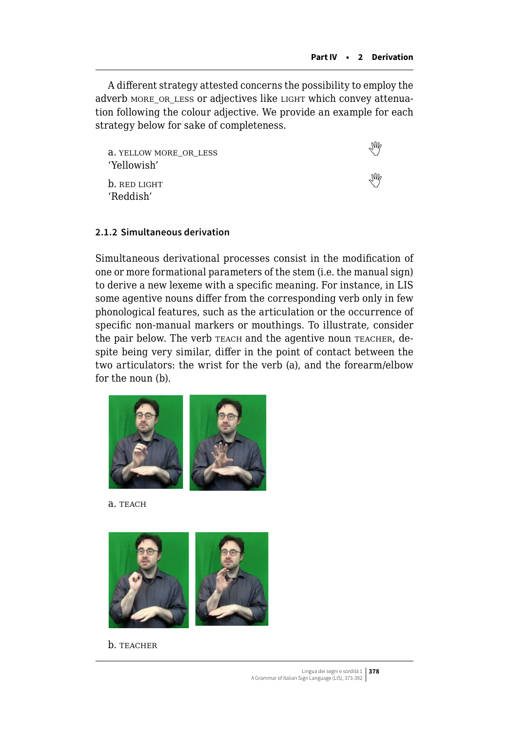A different strategy attested concerns the possibility to employ the adverb MORE OR LESS or adjectives like LIGHT which convey attenuation following the colour adjective. We provide an example for each strategy below for sake of completeness.

a. yellow more\_or\_less  'Yellowish'

 $b.$ red light 'Reddish'

#### **2.1.2 Simultaneous derivation**

Simultaneous derivational processes consist in the modification of one or more formational parameters of the stem (i.e. the manual sign) to derive a new lexeme with a specific meaning. For instance, in LIS some agentive nouns differ from the corresponding verb only in few phonological features, such as the articulation or the occurrence of specific non-manual markers or mouthings. To illustrate, consider the pair below. The verb **TEACH** and the agentive noun **TEACHER**, despite being very similar, differ in the point of contact between the two articulators: the wrist for the verb (a), and the forearm/elbow for the noun (b).



a. TEACH



b. TEACHER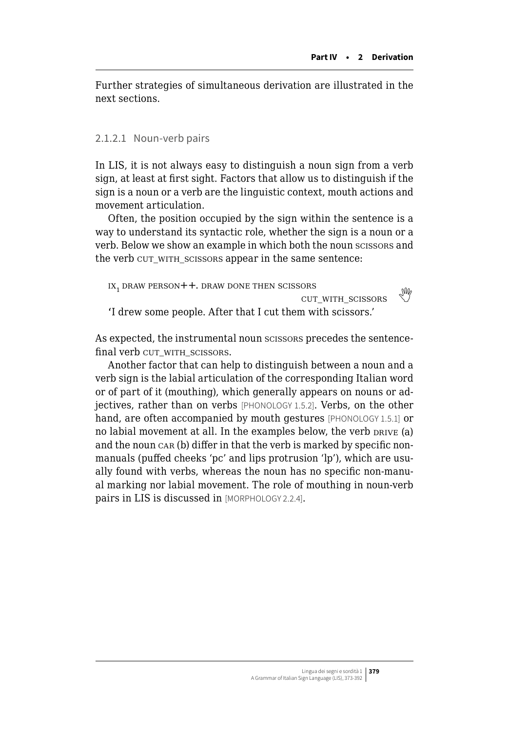Further strategies of simultaneous derivation are illustrated in the next sections.

#### 2.1.2.1 Noun-verb pairs

In LIS, it is not always easy to distinguish a noun sign from a verb sign, at least at first sight. Factors that allow us to distinguish if the sign is a noun or a verb are the linguistic context, mouth actions and movement articulation.

Often, the position occupied by the sign within the sentence is a way to understand its syntactic role, whether the sign is a noun or a verb. Below we show an example in which both the noun scissors and the verb cut with scissors appear in the same sentence:

```
IX<sub>1</sub> draw person + +. Draw done then scissors
                                      \frac{1}{2} cut with scissors \frac{1}{2}'I drew some people. After that I cut them with scissors.'
```
As expected, the instrumental noun scissors precedes the sentencefinal verb cut with scissors.

Another factor that can help to distinguish between a noun and a verb sign is the labial articulation of the corresponding Italian word or of part of it (mouthing), which generally appears on nouns or adjectives, rather than on verbs [PHONOLOGY 1.5.2]. Verbs, on the other hand, are often accompanied by mouth gestures [PHONOLOGY 1.5.1] or no labial movement at all. In the examples below, the verb  $DRIVE$  (a) and the noun car (b) differ in that the verb is marked by specific nonmanuals (puffed cheeks 'pc' and lips protrusion 'lp'), which are usually found with verbs, whereas the noun has no specific non-manual marking nor labial movement. The role of mouthing in noun-verb pairs in LIS is discussed in [MORPHOLOGY 2.2.4].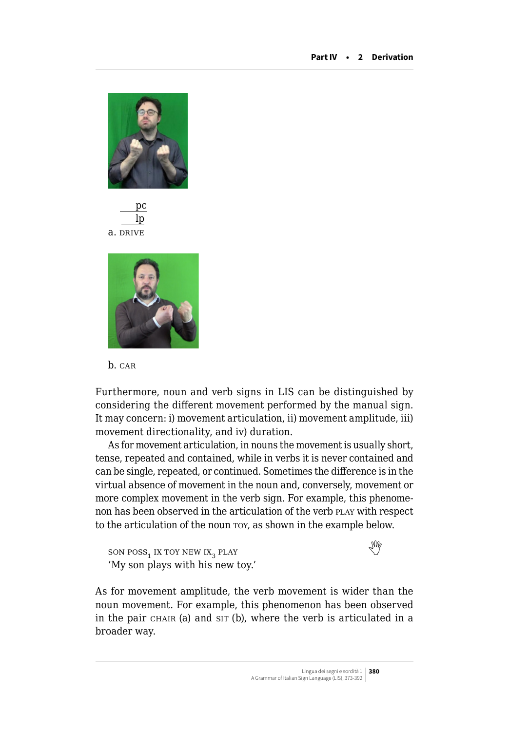

$$
\frac{pc}{\frac{lp}{\text{ln}}}
$$
 a.  $\overline{DRIVE}$ 



b. CAR

Furthermore, noun and verb signs in LIS can be distinguished by considering the different movement performed by the manual sign. It may concern: i) movement articulation, ii) movement amplitude, iii) movement directionality, and iv) duration.

As for movement articulation, in nouns the movement is usually short, tense, repeated and contained, while in verbs it is never contained and can be single, repeated, or continued. Sometimes the difference is in the virtual absence of movement in the noun and, conversely, movement or more complex movement in the verb sign. For example, this phenomenon has been observed in the articulation of the verb PLAY with respect to the articulation of the noun roy, as shown in the example below.

 $\text{SON} \text{ POS}_{1} \text{ IX} \text{ TOY} \text{ NEW} \text{ IX}_{3} \text{ PLAY}$  $\text{SON} \text{ POS}_{1} \text{ IX} \text{ TOY} \text{ NEW} \text{ IX}_{3} \text{ PLAY}$  $\text{SON} \text{ POS}_{1} \text{ IX} \text{ TOY} \text{ NEW} \text{ IX}_{3} \text{ PLAY}$ 'My son plays with his new toy.'

As for movement amplitude, the verb movement is wider than the noun movement. For example, this phenomenon has been observed in the pair CHAIR (a) and sit (b), where the verb is articulated in a broader way.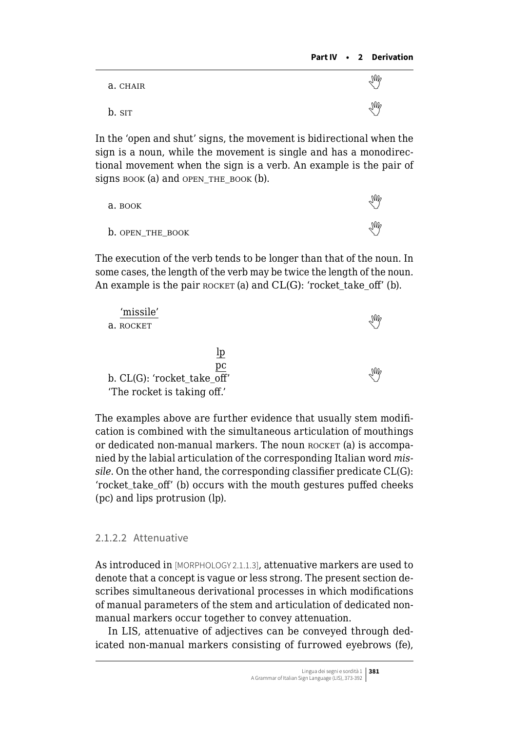| a. CHAIR | M                      |
|----------|------------------------|
| b. sit   | $\mathbb{W}_{\varphi}$ |

In the 'open and shut' signs, the movement is bidirectional when the sign is a noun, while the movement is single and has a monodirectional movement when the sign is a verb. An example is the pair of signs book (a) and open THE BOOK  $(b)$ .

| а. воок                 | $\mathbb{W}_{\ell}$ |
|-------------------------|---------------------|
| <b>b.</b> OPEN THE BOOK | $\mathbb{W}_{\ell}$ |

The execution of the verb tends to be longer than that of the noun. In some cases, the length of the verb may be twice the length of the noun. An example is the pair  $ROCKET$  (a) and  $CL(G)$ : 'rocket\_take\_off' (b).

| 'missile'                   |    |
|-----------------------------|----|
| a. ROCKET                   | M  |
|                             |    |
| lp                          |    |
| pс                          |    |
| b. CL(G): 'rocket_take_off' | NW |
| 'The rocket is taking off.' |    |

The examples above are further evidence that usually stem modification is combined with the simultaneous articulation of mouthings or dedicated non-manual markers. The noun ROCKET (a) is accompanied by the labial articulation of the corresponding Italian word *missile*. On the other hand, the corresponding classifier predicate CL(G): 'rocket\_take\_off' (b) occurs with the mouth gestures puffed cheeks (pc) and lips protrusion (lp).

# 2.1.2.2 Attenuative

As introduced in [MORPHOLOGY 2.1.1.3], attenuative markers are used to denote that a concept is vague or less strong. The present section describes simultaneous derivational processes in which modifications of manual parameters of the stem and articulation of dedicated nonmanual markers occur together to convey attenuation.

In LIS, attenuative of adjectives can be conveyed through dedicated non-manual markers consisting of furrowed eyebrows (fe),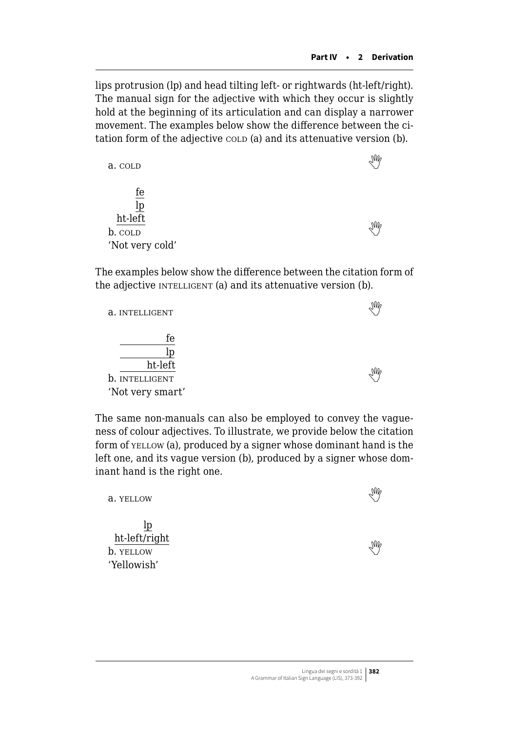lips protrusion (lp) and head tilting left- or rightwards (ht-left/right). The manual sign for the adjective with which they occur is slightly hold at the beginning of its articulation and can display a narrower movement. The examples below show the difference between the citation form of the adjective cold (a) and its attenuative version (b).

| a. COLD                         |  |
|---------------------------------|--|
| fe<br>$\underline{\mathrm{lp}}$ |  |
| ht-left                         |  |
| b. cold                         |  |
| 'Not very cold'                 |  |

The examples below show the difference between the citation form of the adjective INTELLIGENT (a) and its attenuative version (b).

| a. INTELLIGENT                                      |  |
|-----------------------------------------------------|--|
| fe<br>ht-left<br>b. INTELLIGENT<br>'Not very smart' |  |

The same non-manuals can also be employed to convey the vagueness of colour adjectives. To illustrate, we provide below the citation form of *YELLOW* (a), produced by a signer whose dominant hand is the left one, and its vague version (b), produced by a signer whose dominant hand is the right one.

| a. YELLOW                                       |                   |  |
|-------------------------------------------------|-------------------|--|
| lp<br>ht-left/right<br>b. YELLOW<br>'Yellowish' | <sup>2</sup> /An. |  |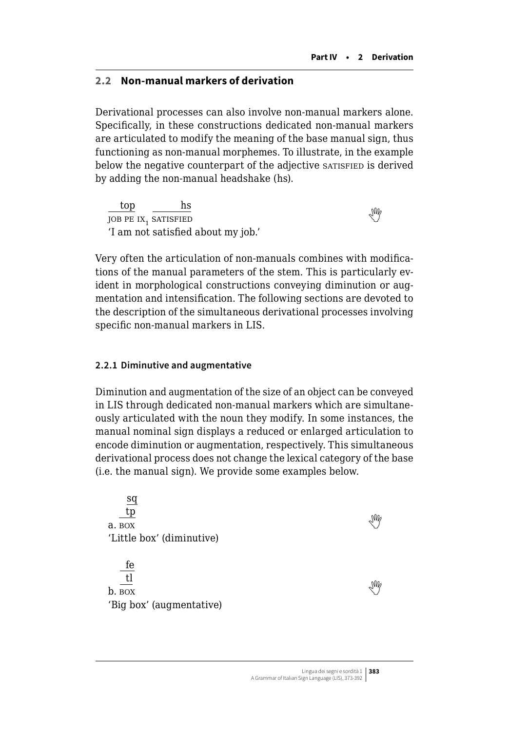#### <span id="page-10-0"></span>**2.2 Non-manual markers of derivation**

Derivational processes can also involve non-manual markers alone. Specifically, in these constructions dedicated non-manual markers are articulated to modify the meaning of the base manual sign, thus functioning as non-manual morphemes. To illustrate, in the example below the negative counterpart of the adjective satisfied is derived by adding the non-manual headshake (hs).

top hs  $\frac{10}{10}$ job pe ix<sub>1</sub> satisfied 'I am not satisfied about my job.'

Very often the articulation of non-manuals combines with modifications of the manual parameters of the stem. This is particularly evident in morphological constructions conveying diminution or augmentation and intensification. The following sections are devoted to the description of the simultaneous derivational processes involving specific non-manual markers in LIS.

#### **2.2.1 Diminutive and augmentative**

Diminution and augmentation of the size of an object can be conveyed in LIS through dedicated non-manual markers which are simultaneously articulated with the noun they modify. In some instances, the manual nominal sign displays a reduced or enlarged articulation to encode diminution or augmentation, respectively. This simultaneous derivational process does not change the lexical category of the base (i.e. the manual sign). We provide some examples below.

sq tp  $\frac{d\mathbf{p}}{d\mathbf{p}}$ a. box 'Little box' (diminutive) fe tl  $\frac{1}{2}$ b. box 'Big box' (augmentative)

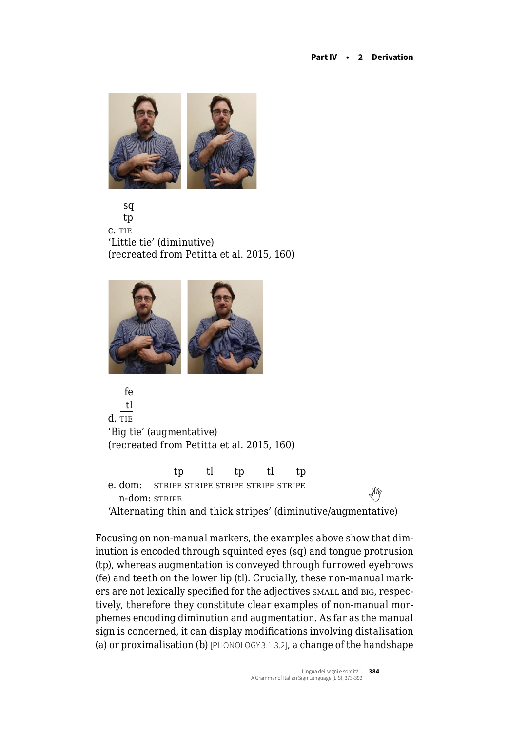

sq tp c. tie 'Little tie' (diminutive) (recreated from Petitta et al. 2015, 160)



fe tl d. tie 'Big tie' (augmentative) (recreated from Petitta et al. 2015, 160) tl tp tl

e. dom: stripe stripe stripe stripe stripe  $\frac{m}{N}$ <br>n-dom:stripe 'Alternating thin and thick stripes' (diminutive/augmentative)

Focusing on non-manual markers, the examples above show that diminution is encoded through squinted eyes (sq) and tongue protrusion (tp), whereas augmentation is conveyed through furrowed eyebrows (fe) and teeth on the lower lip (tl). Crucially, these non-manual markers are not lexically specified for the adjectives small and big, respectively, therefore they constitute clear examples of non-manual morphemes encoding diminution and augmentation. As far as the manual sign is concerned, it can display modifications involving distalisation (a) or proximalisation (b) [PHONOLOGY 3.1.3.2], a change of the handshape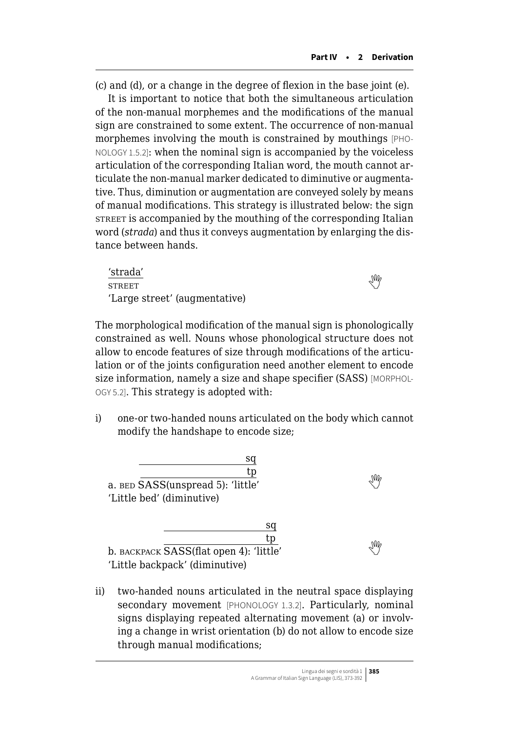(c) and (d), or a change in the degree of flexion in the base joint (e).

It is important to notice that both the simultaneous articulation of the non-manual morphemes and the modifications of the manual sign are constrained to some extent. The occurrence of non-manual morphemes involving the mouth is constrained by mouthings [PHO-NOLOGY 1.5.2]: when the nominal sign is accompanied by the voiceless articulation of the corresponding Italian word, the mouth cannot articulate the non-manual marker dedicated to diminutive or augmentative. Thus, diminution or augmentation are conveyed solely by means of manual modifications. This strategy is illustrated below: the sign street is accompanied by the mouthing of the corresponding Italian word (*strada*) and thus it conveys augmentation by enlarging the distance between hands.

'strada' STREETWE 'Large street' (augmentative)



The morphological modification of the manual sign is phonologically constrained as well. Nouns whose phonological structure does not allow to encode features of size through modifications of the articulation or of the joints configuration need another element to encode size information, namely a size and shape specifier (SASS) [MORPHOL-OGY 5.2]. This strategy is adopted with:

i) one-or two-handed nouns articulated on the body which cannot modify the handshape to encode size;

| sa                                      |  |
|-----------------------------------------|--|
| tp                                      |  |
| a. BED SASS(unspread 5): 'little'       |  |
| 'Little bed' (diminutive)               |  |
|                                         |  |
| sq                                      |  |
| tp                                      |  |
| b. BACKPACK SASS(flat open 4): 'little' |  |
| 'Little backpack' (diminutive)          |  |

ii) two-handed nouns articulated in the neutral space displaying secondary movement [PHONOLOGY 1.3.2]. Particularly, nominal signs displaying repeated alternating movement (a) or involving a change in wrist orientation (b) do not allow to encode size through manual modifications;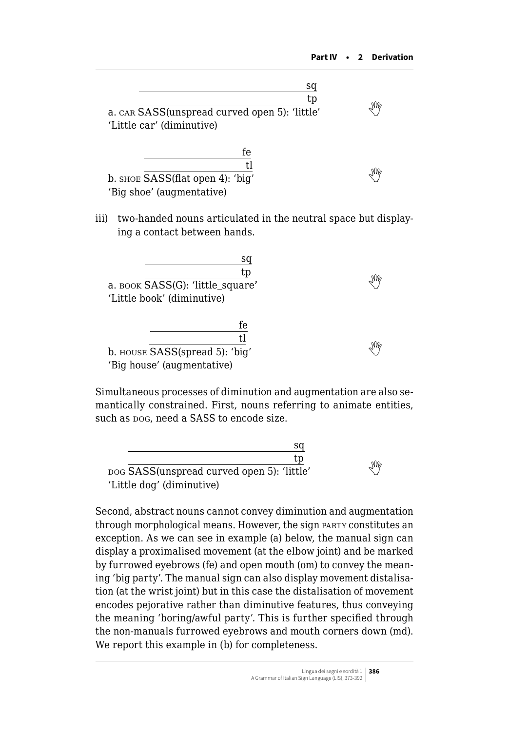| sq<br>tp<br>a. CAR SASS (unspread curved open 5): 'little'<br>'Little car' (diminutive) | NW |
|-----------------------------------------------------------------------------------------|----|
| fe<br>t l<br>b. shoe SASS(flat open 4): 'big'<br>'Big shoe' (augmentative)              |    |

iii) two-handed nouns articulated in the neutral space but displaying a contact between hands.

| sa<br>tp                         |    |
|----------------------------------|----|
| a. воок SASS(G): 'little_square' | NW |
| 'Little book' (diminutive)       |    |
| fe                               |    |
| t.l                              |    |
| b. HOUSE SASS(spread 5): 'big'   |    |
| 'Big house' (augmentative)       |    |

Simultaneous processes of diminution and augmentation are also semantically constrained. First, nouns referring to animate entities, such as pog, need a SASS to encode size.

| sa                                         |   |
|--------------------------------------------|---|
| tp                                         |   |
| pog SASS(unspread curved open 5): 'little' | M |
| 'Little dog' (diminutive)                  |   |

Second, abstract nouns cannot convey diminution and augmentation through morphological means. However, the sign party constitutes an exception. As we can see in example (a) below, the manual sign can display a proximalised movement (at the elbow joint) and be marked by furrowed eyebrows (fe) and open mouth (om) to convey the meaning 'big party'. The manual sign can also display movement distalisation (at the wrist joint) but in this case the distalisation of movement encodes pejorative rather than diminutive features, thus conveying the meaning 'boring/awful party'. This is further specified through the non-manuals furrowed eyebrows and mouth corners down (md). We report this example in (b) for completeness.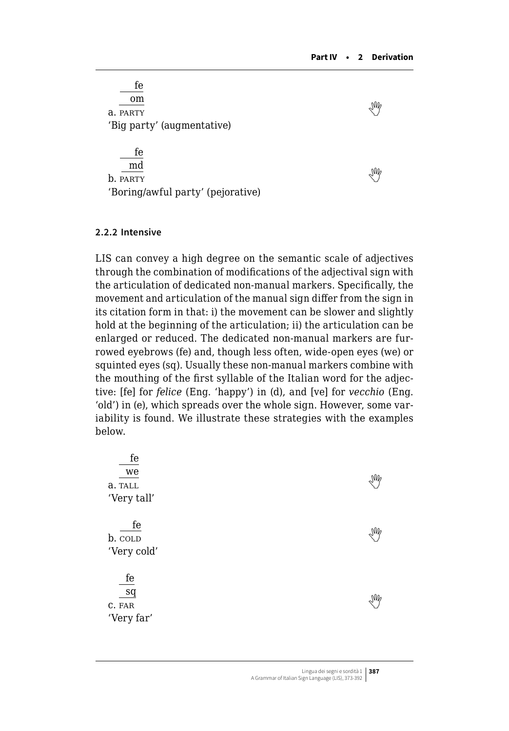| fe                                |  |
|-----------------------------------|--|
| om                                |  |
| a. PARTY                          |  |
| 'Big party' (augmentative)        |  |
|                                   |  |
| fe                                |  |
| md                                |  |
| b. PARTY                          |  |
| 'Boring/awful party' (pejorative) |  |
|                                   |  |

#### **2.2.2 Intensive**

LIS can convey a high degree on the semantic scale of adjectives through the combination of modifications of the adjectival sign with the articulation of dedicated non-manual markers. Specifically, the movement and articulation of the manual sign differ from the sign in its citation form in that: i) the movement can be slower and slightly hold at the beginning of the articulation; ii) the articulation can be enlarged or reduced. The dedicated non-manual markers are furrowed eyebrows (fe) and, though less often, wide-open eyes (we) or squinted eyes (sq). Usually these non-manual markers combine with the mouthing of the first syllable of the Italian word for the adjective: [fe] for *felice* (Eng. 'happy') in (d), and [ve] for *vecchio* (Eng. 'old') in (e), which spreads over the whole sign. However, some variability is found. We illustrate these strategies with the examples below.

| $f_{\rm e}$<br>we<br>a. TALL<br>'Very tall' | M |
|---------------------------------------------|---|
| fe<br>b. COLD<br>'Very cold'                | M |
| fe<br>sq<br>C. FAR<br>'Very far'            | N |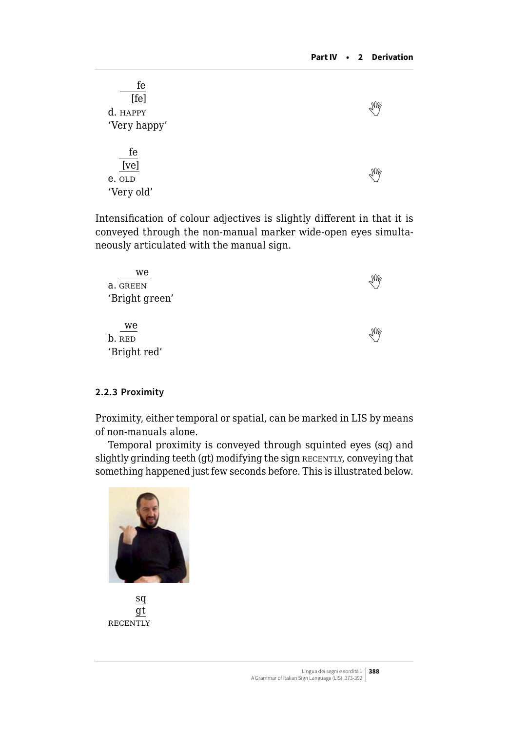| fe<br>[fe]<br>d. HAPPY | $\sqrt{M}$ |
|------------------------|------------|
| 'Very happy'           |            |
| fe                     |            |
| [ve]                   | M          |
| e. OLD                 |            |
| 'Very old'             |            |

Intensification of colour adjectives is slightly different in that it is conveyed through the non-manual marker wide-open eyes simultaneously articulated with the manual sign.

| we             | $\mathbb{W}_{\varphi}$ |
|----------------|------------------------|
| a. GREEN       |                        |
| 'Bright green' |                        |
|                |                        |
| we             |                        |
| b. RED         | $\mathbb{W}_{\varphi}$ |
| 'Bright red'   |                        |

#### **2.2.3 Proximity**

Proximity, either temporal or spatial, can be marked in LIS by means of non-manuals alone.

Temporal proximity is conveyed through squinted eyes (sq) and slightly grinding teeth (gt) modifying the sign RECENTLY, conveying that something happened just few seconds before. This is illustrated below.



sq gt **RECENTLY**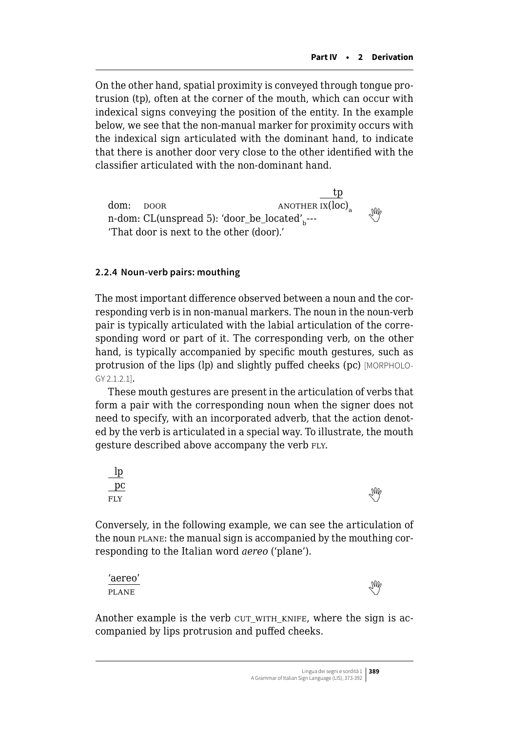On the other hand, spatial proximity is conveyed through tongue protrusion (tp), often at the corner of the mouth, which can occur with indexical signs conveying the position of the entity. In the example below, we see that the non-manual marker for proximity occurs with the indexical sign articulated with the dominant hand, to indicate that there is another door very close to the other identified with the classifier articulated with the non-dominant hand.

tp dom:  $DOOR$  ANOTHER  $\overline{IX(loc)}$  $n$ -dom:CL(unspread 5): 'door\_be\_located'<sub>b</sub>---'That door is next to the other (door).'

#### **2.2.4 Noun-verb pairs: mouthing**

The most important difference observed between a noun and the corresponding verb is in non-manual markers. The noun in the noun-verb pair is typically articulated with the labial articulation of the corresponding word or part of it. The corresponding verb, on the other hand, is typically accompanied by specific mouth gestures, such as protrusion of the lips (lp) and slightly puffed cheeks (pc) [MORPHOLO-GY 2.1.2.1].

These mouth gestures are present in the articulation of verbs that form a pair with the corresponding noun when the signer does not need to specify, with an incorporated adverb, that the action denoted by the verb is articulated in a special way. To illustrate, the mouth gesture described above accompany the verb FLY.



Conversely, in the following example, we can see the articulation of the noun plane: the manual sign is accompanied by the mouthing corresponding to the Italian word *aereo* ('plane').

| 'aereo'      | $\mathbb{W}_{c}$ |
|--------------|------------------|
| <b>PLANE</b> |                  |

Another example is the verb CUT\_WITH\_KNIFE, where the sign is accompanied by lips protrusion and puffed cheeks.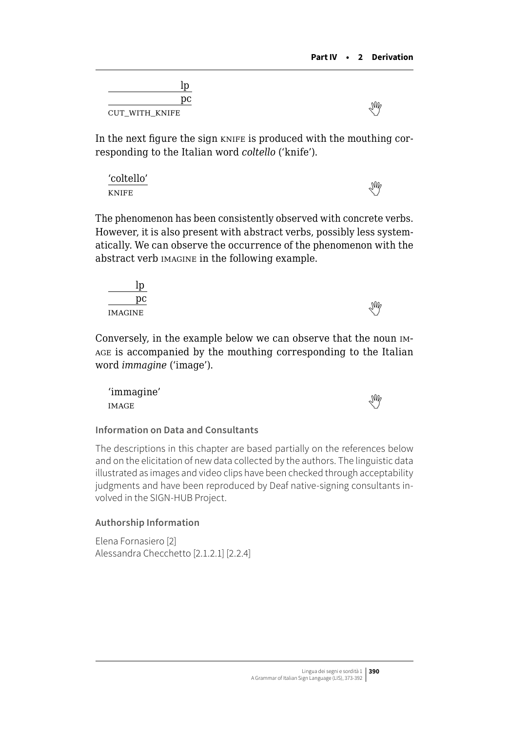| pс             |  |
|----------------|--|
| CUT_WITH_KNIFE |  |

In the next figure the sign knife is produced with the mouthing corresponding to the Italian word *coltello* ('knife').

'coltello' knifeand the second service of the service of the service of the service of the service of the service of the service of the service of the service of the service of the service of the service of the service of the servic

The phenomenon has been consistently observed with concrete verbs. However, it is also present with abstract verbs, possibly less systematically. We can observe the occurrence of the phenomenon with the abstract verb imagine in the following example.

| ιŅ      |   |
|---------|---|
| рc      | M |
| IMAGINE |   |

Conversely, in the example below we can observe that the noun image is accompanied by the mouthing corresponding to the Italian word *immagine* ('image').

'immagine' imagethe contract of the contract of the contract of the contract of the contract of the contract of the contract of the contract of the contract of the contract of the contract of the contract of the contract of the cont

# **Information on Data and Consultants**

The descriptions in this chapter are based partially on the references below and on the elicitation of new data collected by the authors. The linguistic data illustrated as images and video clips have been checked through acceptability judgments and have been reproduced by Deaf native-signing consultants involved in the SIGN-HUB Project.

# **Authorship Information**

Elena Fornasiero [2] Alessandra Checchetto [2.1.2.1] [2.2.4]